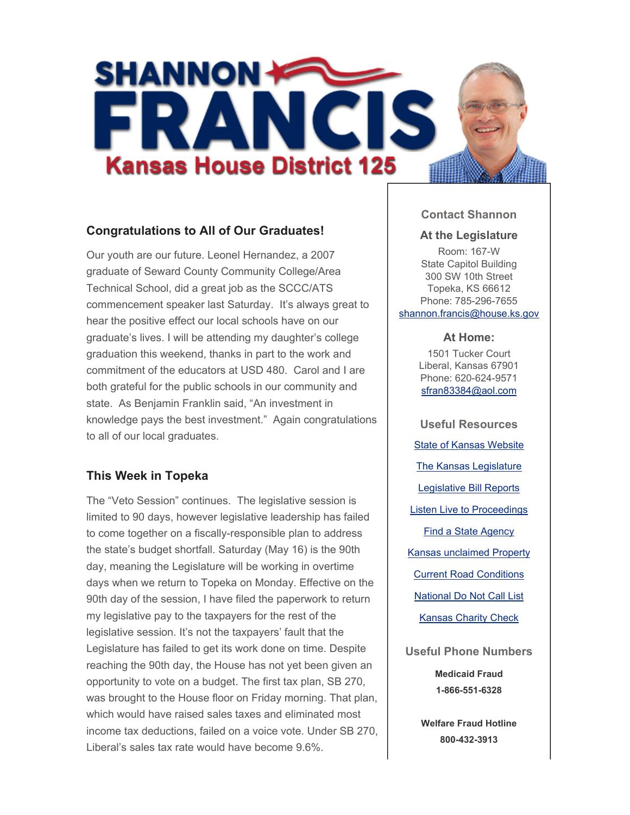

# **Congratulations to All of Our Graduates!**

Our youth are our future. Leonel Hernandez, a 2007 graduate of Seward County Community College/Area Technical School, did a great job as the SCCC/ATS commencement speaker last Saturday. It's always great to hear the positive effect our local schools have on our graduate's lives. I will be attending my daughter's college graduation this weekend, thanks in part to the work and commitment of the educators at USD 480. Carol and I are both grateful for the public schools in our community and state. As Benjamin Franklin said, "An investment in knowledge pays the best investment." Again congratulations to all of our local graduates.

# **This Week in Topeka**

The "Veto Session" continues. The legislative session is limited to 90 days, however legislative leadership has failed to come together on a fiscally-responsible plan to address the state's budget shortfall. Saturday (May 16) is the 90th day, meaning the Legislature will be working in overtime days when we return to Topeka on Monday. Effective on the 90th day of the session, I have filed the paperwork to return my legislative pay to the taxpayers for the rest of the legislative session. It's not the taxpayers' fault that the Legislature has failed to get its work done on time. Despite reaching the 90th day, the House has not yet been given an opportunity to vote on a budget. The first tax plan, SB 270, was brought to the House floor on Friday morning. That plan, which would have raised sales taxes and eliminated most income tax deductions, failed on a voice vote. Under SB 270, Liberal's sales tax rate would have become 9.6%.

### **Contact Shannon**

### **At the Legislature**

Room: 167-W State Capitol Building 300 SW 10th Street Topeka, KS 66612 Phone: 785-296-7655 shannon.francis@house.ks.gov

#### **At Home:**

1501 Tucker Court Liberal, Kansas 67901 Phone: 620-624-9571 sfran83384@aol.com

**Useful Resources** State of Kansas Website The Kansas Legislature Legislative Bill Reports Listen Live to Proceedings Find a State Agency Kansas unclaimed Property Current Road Conditions National Do Not Call List Kansas Charity Check

**Useful Phone Numbers Medicaid Fraud**

**1-866-551-6328**

**Welfare Fraud Hotline 800-432-3913**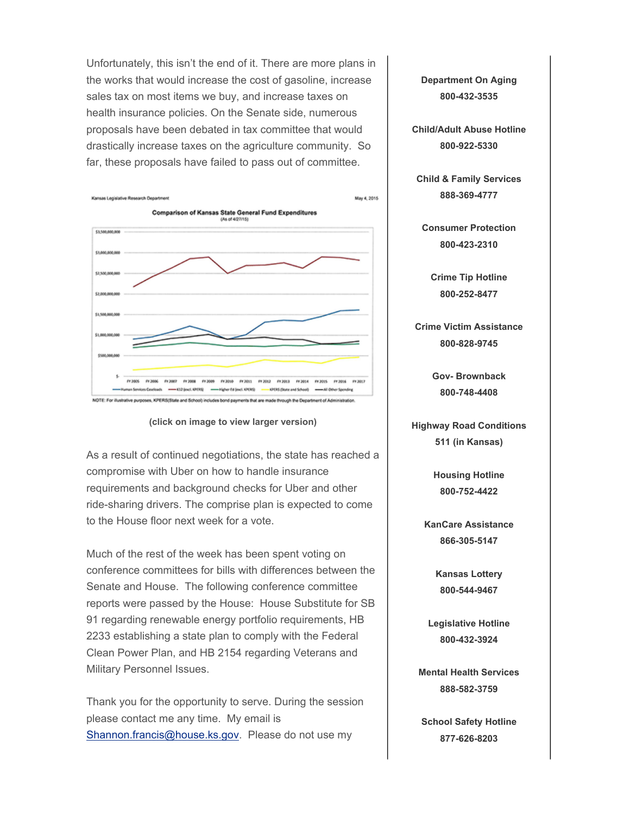Unfortunately, this isn't the end of it. There are more plans in the works that would increase the cost of gasoline, increase sales tax on most items we buy, and increase taxes on health insurance policies. On the Senate side, numerous proposals have been debated in tax committee that would drastically increase taxes on the agriculture community. So far, these proposals have failed to pass out of committee.



**(click on image to view larger version)**

As a result of continued negotiations, the state has reached a compromise with Uber on how to handle insurance requirements and background checks for Uber and other ride-sharing drivers. The comprise plan is expected to come to the House floor next week for a vote.

Much of the rest of the week has been spent voting on conference committees for bills with differences between the Senate and House. The following conference committee reports were passed by the House: House Substitute for SB 91 regarding renewable energy portfolio requirements, HB 2233 establishing a state plan to comply with the Federal Clean Power Plan, and HB 2154 regarding Veterans and Military Personnel Issues.

Thank you for the opportunity to serve. During the session please contact me any time. My email is Shannon.francis@house.ks.gov. Please do not use my

**Department On Aging 800-432-3535**

**Child/Adult Abuse Hotline 800-922-5330**

**Child & Family Services 888-369-4777**

**Consumer Protection 800-423-2310**

**Crime Tip Hotline 800-252-8477**

**Crime Victim Assistance 800-828-9745**

> **Gov- Brownback 800-748-4408**

**Highway Road Conditions 511 (in Kansas)**

> **Housing Hotline 800-752-4422**

**KanCare Assistance 866-305-5147**

> **Kansas Lottery 800-544-9467**

**Legislative Hotline 800-432-3924**

**Mental Health Services 888-582-3759**

**School Safety Hotline 877-626-8203**